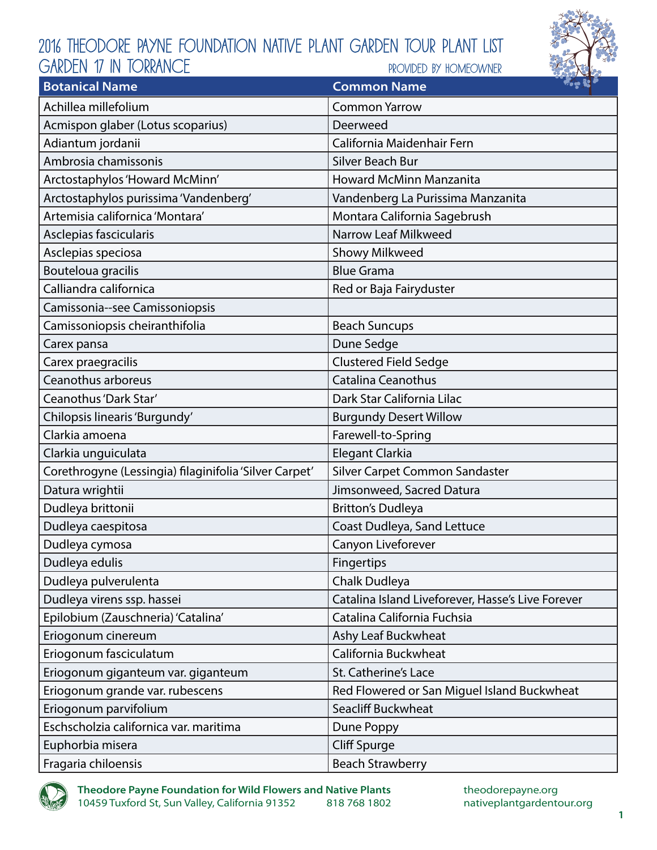## 2016 Theodore Payne Foundation Native Plant Garden Tour Plant List provided by homeowner GARDEN 17 in torrance



| <b>Botanical Name</b>                                  | $\sim$ $\sim$ $\sim$<br><b>Common Name</b>        |
|--------------------------------------------------------|---------------------------------------------------|
| Achillea millefolium                                   | <b>Common Yarrow</b>                              |
| Acmispon glaber (Lotus scoparius)                      | Deerweed                                          |
| Adiantum jordanii                                      | California Maidenhair Fern                        |
| Ambrosia chamissonis                                   | Silver Beach Bur                                  |
| Arctostaphylos 'Howard McMinn'                         | <b>Howard McMinn Manzanita</b>                    |
| Arctostaphylos purissima 'Vandenberg'                  | Vandenberg La Purissima Manzanita                 |
| Artemisia californica 'Montara'                        | Montara California Sagebrush                      |
| Asclepias fascicularis                                 | Narrow Leaf Milkweed                              |
| Asclepias speciosa                                     | <b>Showy Milkweed</b>                             |
| Bouteloua gracilis                                     | <b>Blue Grama</b>                                 |
| Calliandra californica                                 | Red or Baja Fairyduster                           |
| Camissonia--see Camissoniopsis                         |                                                   |
| Camissoniopsis cheiranthifolia                         | <b>Beach Suncups</b>                              |
| Carex pansa                                            | Dune Sedge                                        |
| Carex praegracilis                                     | <b>Clustered Field Sedge</b>                      |
| Ceanothus arboreus                                     | <b>Catalina Ceanothus</b>                         |
| Ceanothus 'Dark Star'                                  | Dark Star California Lilac                        |
| Chilopsis linearis 'Burgundy'                          | <b>Burgundy Desert Willow</b>                     |
| Clarkia amoena                                         | Farewell-to-Spring                                |
| Clarkia unguiculata                                    | Elegant Clarkia                                   |
| Corethrogyne (Lessingia) filaginifolia 'Silver Carpet' | Silver Carpet Common Sandaster                    |
| Datura wrightii                                        | Jimsonweed, Sacred Datura                         |
| Dudleya brittonii                                      | <b>Britton's Dudleya</b>                          |
| Dudleya caespitosa                                     | Coast Dudleya, Sand Lettuce                       |
| Dudleya cymosa                                         | Canyon Liveforever                                |
| Dudleya edulis                                         | Fingertips                                        |
| Dudleya pulverulenta                                   | Chalk Dudleya                                     |
| Dudleya virens ssp. hassei                             | Catalina Island Liveforever, Hasse's Live Forever |
| Epilobium (Zauschneria) 'Catalina'                     | Catalina California Fuchsia                       |
| Eriogonum cinereum                                     | Ashy Leaf Buckwheat                               |
| Eriogonum fasciculatum                                 | California Buckwheat                              |
| Eriogonum giganteum var. giganteum                     | St. Catherine's Lace                              |
| Eriogonum grande var. rubescens                        | Red Flowered or San Miguel Island Buckwheat       |
| Eriogonum parvifolium                                  | Seacliff Buckwheat                                |
| Eschscholzia californica var. maritima                 | Dune Poppy                                        |
| Euphorbia misera                                       | Cliff Spurge                                      |
| Fragaria chiloensis                                    | <b>Beach Strawberry</b>                           |